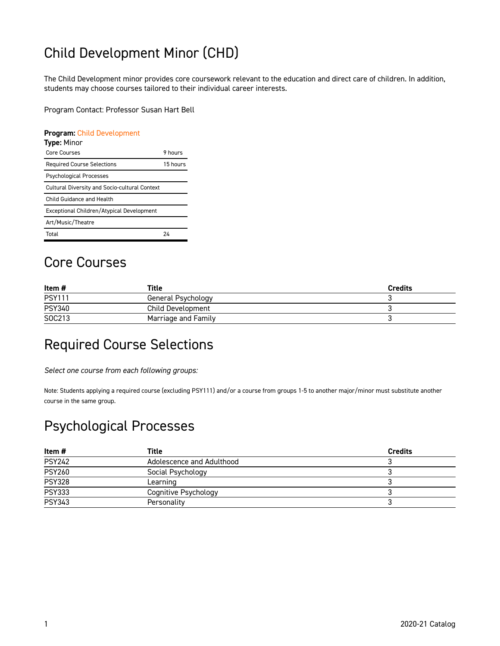## Child Development Minor (CHD)

The Child Development minor provides core coursework relevant to the education and direct care of children. In addition, students may choose courses tailored to their individual career interests.

Program Contact: Professor Susan Hart Bell

#### **Program:** [Child Development](https://catalog.georgetowncollege.edu/child-development)

| <b>Type: Minor</b>                                   |          |
|------------------------------------------------------|----------|
| Core Courses                                         | 9 hours  |
| <b>Required Course Selections</b>                    | 15 hours |
| <b>Psychological Processes</b>                       |          |
| <b>Cultural Diversity and Socio-cultural Context</b> |          |
| Child Guidance and Health                            |          |
| Exceptional Children/Atypical Development            |          |
| Art/Music/Theatre                                    |          |
| Total                                                | 24       |

#### Core Courses

| Item #        | Title               | <b>Credits</b> |
|---------------|---------------------|----------------|
| <b>PSY111</b> | General Psychology  |                |
| <b>PSY340</b> | Child Development   |                |
| SOC213        | Marriage and Family |                |

### Required Course Selections

*Select one course from each following groups:* 

Note: Students applying a required course (excluding PSY111) and/or a course from groups 1-5 to another major/minor must substitute another course in the same group.

#### Psychological Processes

| Item #        | Title                     | <b>Credits</b> |
|---------------|---------------------------|----------------|
| <b>PSY242</b> | Adolescence and Adulthood |                |
| <b>PSY260</b> | Social Psychology         |                |
| <b>PSY328</b> | Learning                  |                |
| <b>PSY333</b> | Cognitive Psychology      |                |
| <b>PSY343</b> | Personality               |                |